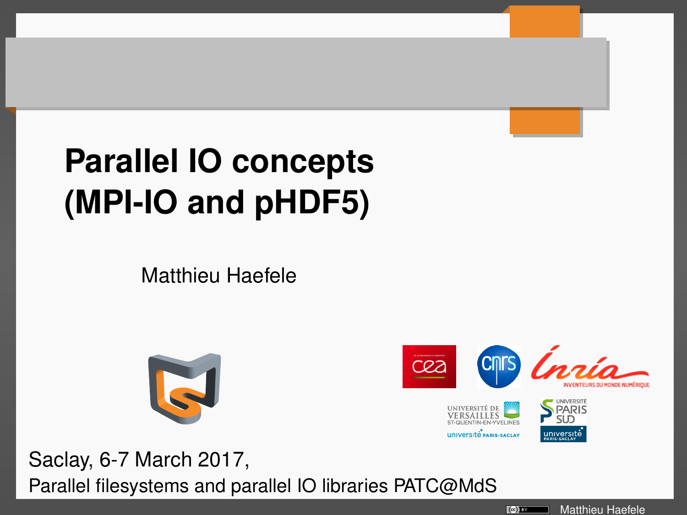# **Parallel IO concepts (MPI-IO and pHDF5)**

Matthieu Haefele





Saclay, 6-7 March 2017, Parallel filesystems and parallel IO libraries PATC@MdS

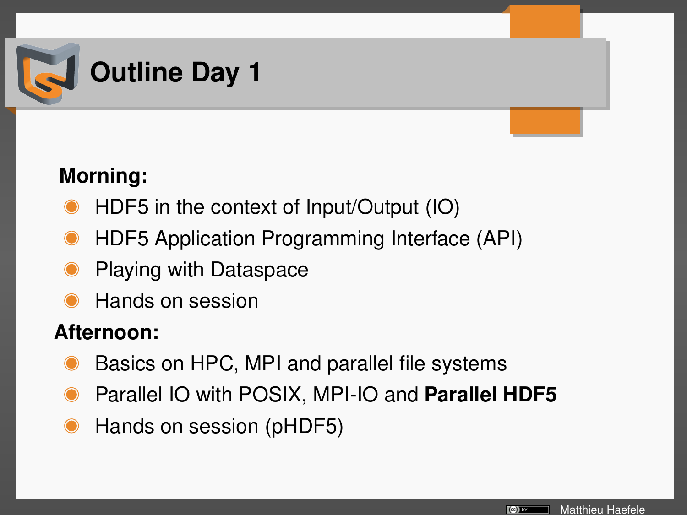

## **Morning:**

- HDF5 in the context of Input/Output (IO)
- HDF5 Application Programming Interface (API)
- Playing with Dataspace
- Hands on session

### **Afternoon:**

- Basics on HPC, MPI and parallel file systems
- Parallel IO with POSIX, MPI-IO and **Parallel HDF5**
- Hands on session (pHDF5)

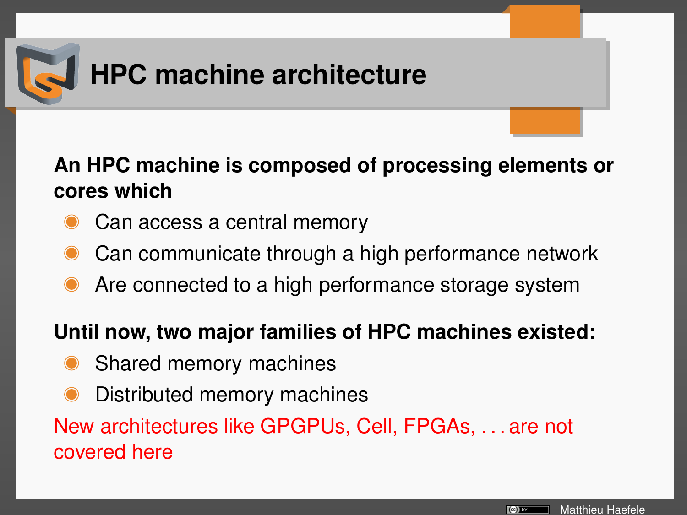

### **An HPC machine is composed of processing elements or cores which**

- Can access a central memory
- Can communicate through a high performance network
- Are connected to a high performance storage system

### **Until now, two major families of HPC machines existed:**

- Shared memory machines
- Distributed memory machines

New architectures like GPGPUs, Cell, FPGAs, . . . are not covered here

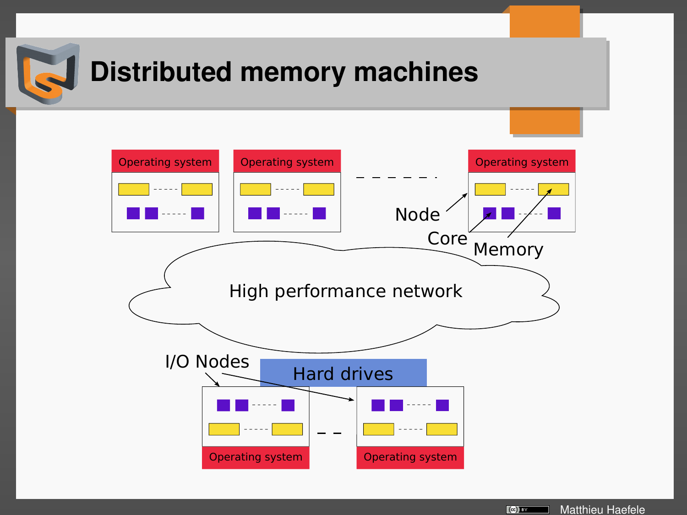

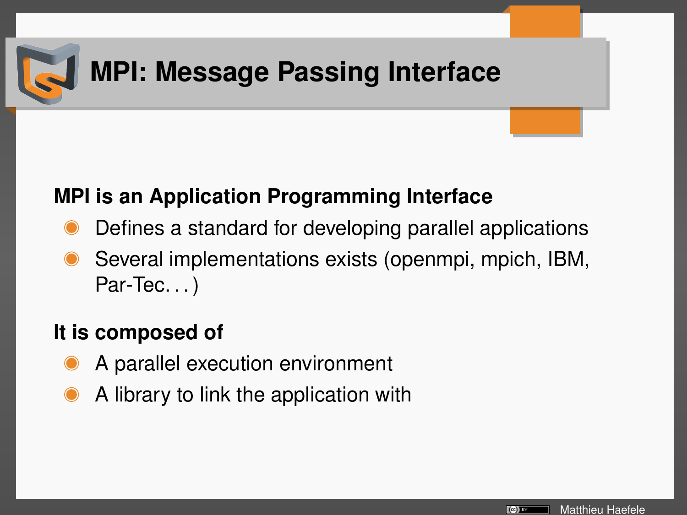

## **MPI: Message Passing Interface**

### **MPI is an Application Programming Interface**

- Defines a standard for developing parallel applications
- Several implementations exists (openmpi, mpich, IBM, Par-Tec...)

## **It is composed of**

- A parallel execution environment
- A library to link the application with

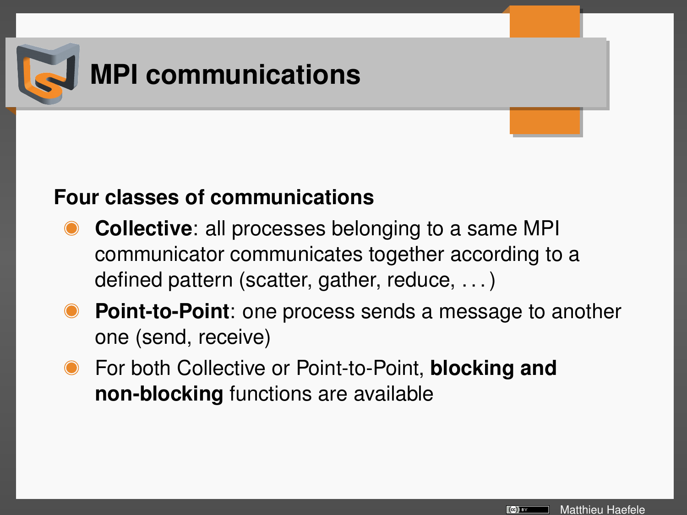

### **Four classes of communications**

- **Collective**: all processes belonging to a same MPI communicator communicates together according to a defined pattern (scatter, gather, reduce, . . . )
- **Point-to-Point**: one process sends a message to another one (send, receive)
- For both Collective or Point-to-Point, **blocking and non-blocking** functions are available

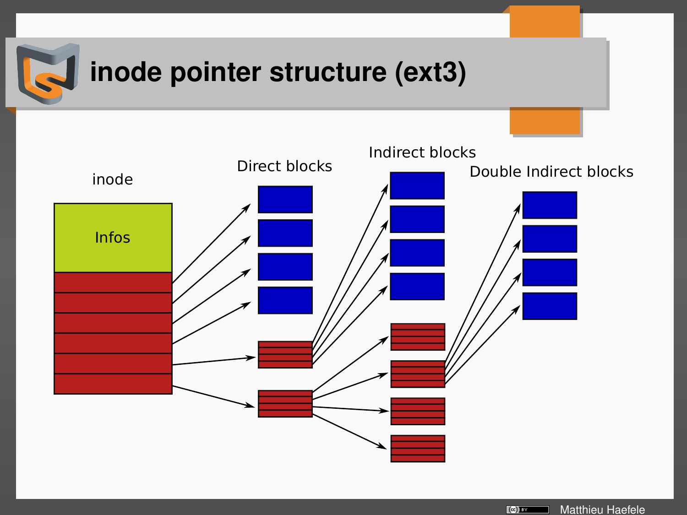

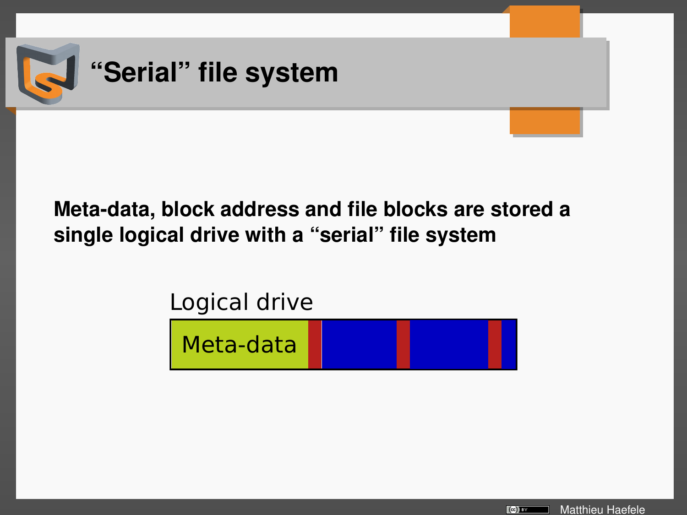

## **Meta-data, block address and file blocks are stored a single logical drive with a "serial" file system**

## Logical drive



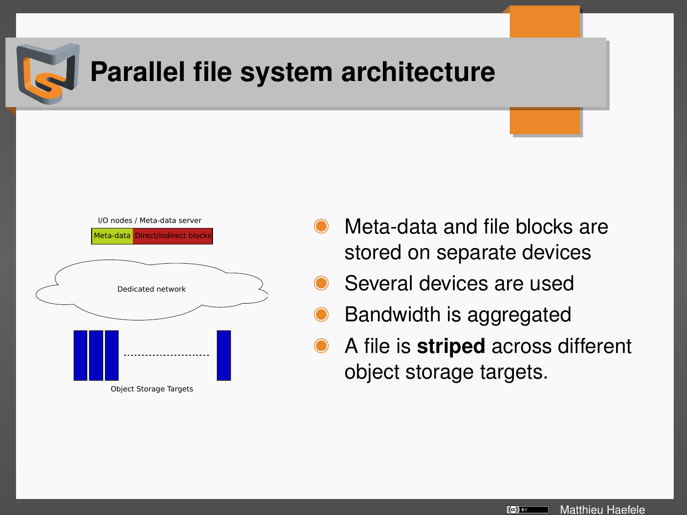

## **Parallel file system architecture**



- Meta-data and file blocks are stored on separate devices
- Several devices are used
- Bandwidth is aggregated
- A file is **striped** across different object storage targets.

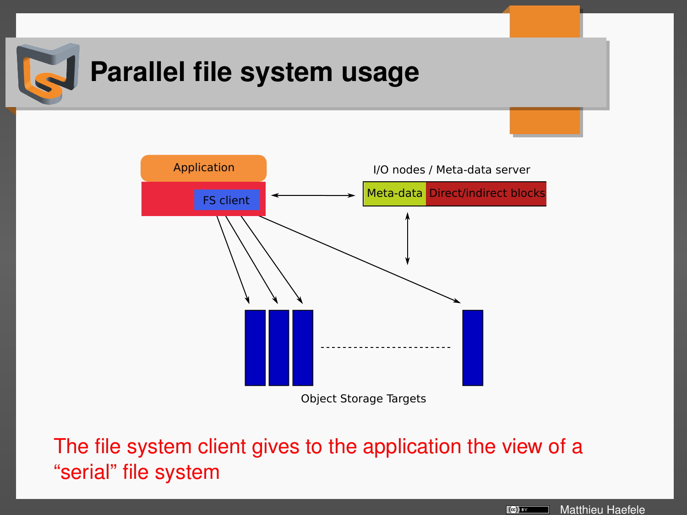

## **Parallel file system usage**



Object Storage Targets

The file system client gives to the application the view of a "serial" file system

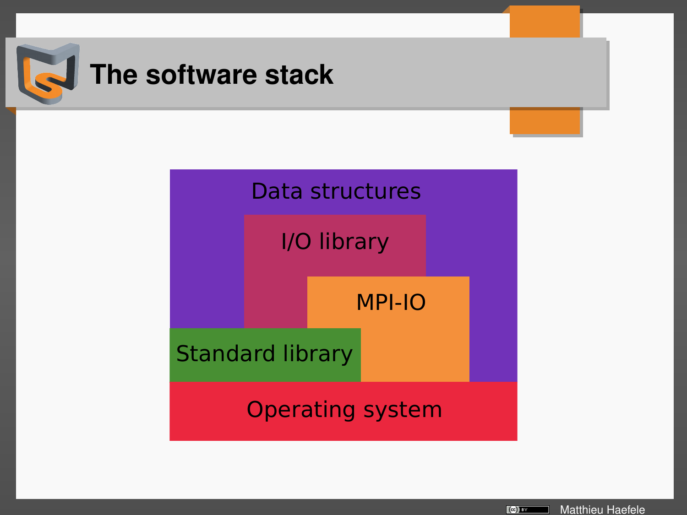

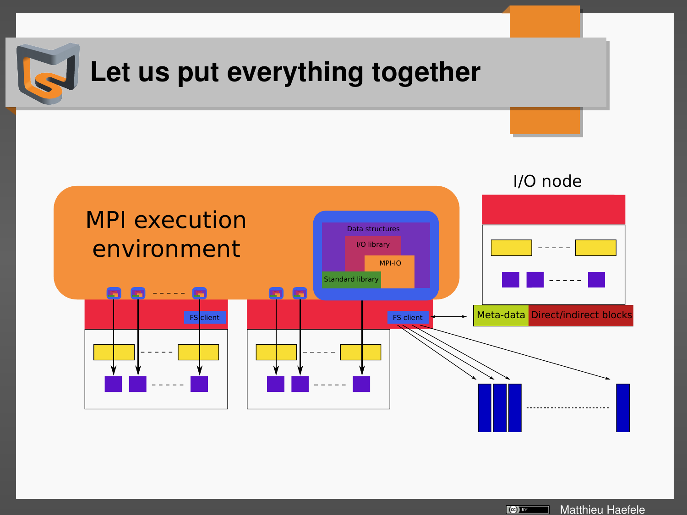

Matthieu Haefele  $\lbrack (c)]$  Ev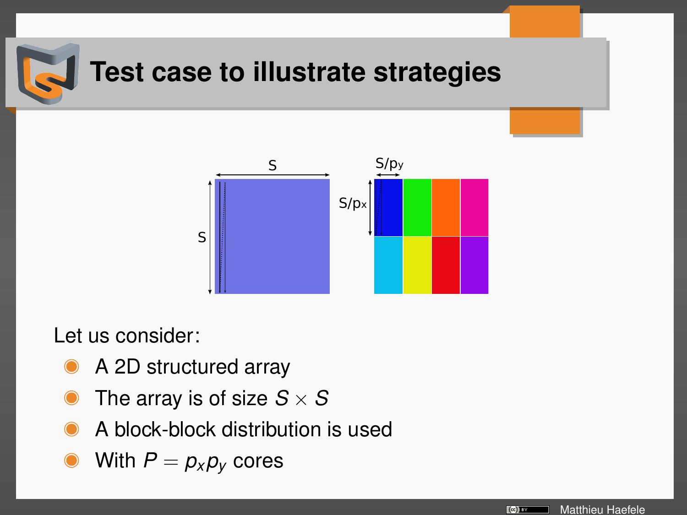

## **Test case to illustrate strategies**



Let us consider:

- A 2D structured array
- The array is of size  $S \times S$
- A block-block distribution is used
- With  $P = p_x p_y$  cores

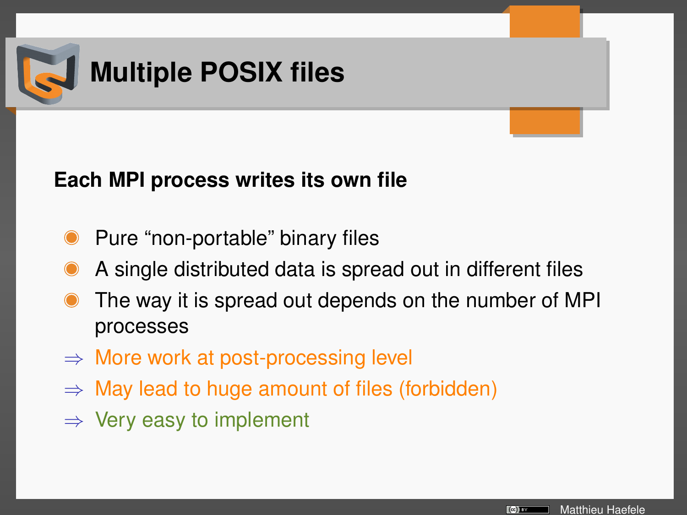

### **Each MPI process writes its own file**

- Pure "non-portable" binary files
- A single distributed data is spread out in different files
- The way it is spread out depends on the number of MPI processes
- $\Rightarrow$  More work at post-processing level
- $\Rightarrow$  May lead to huge amount of files (forbidden)
- $\Rightarrow$  Very easy to implement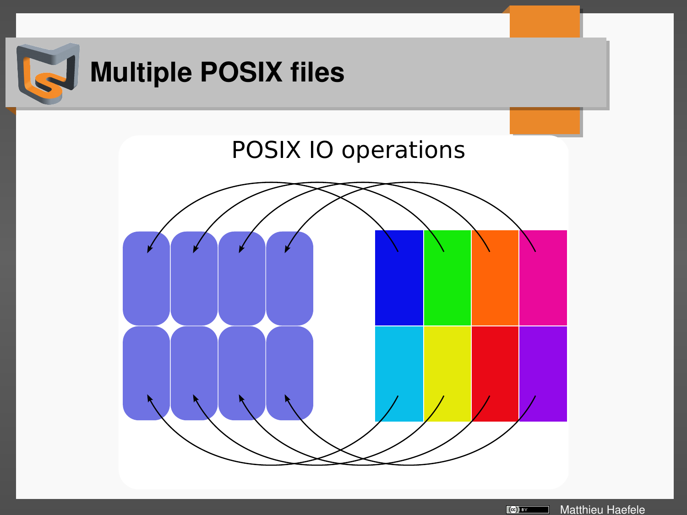

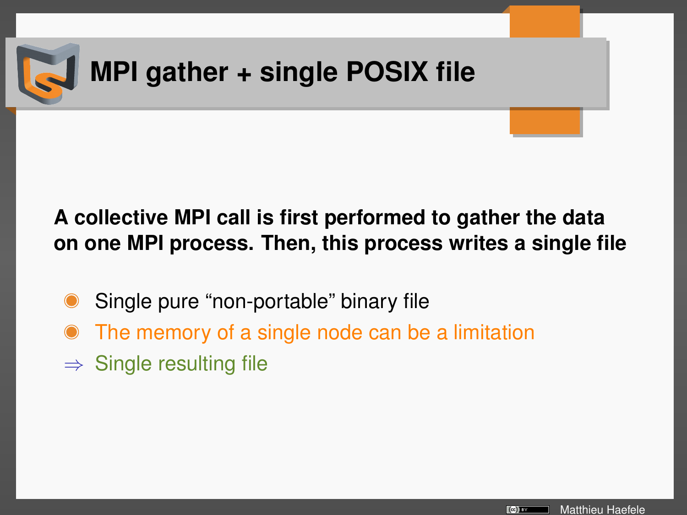

## **A collective MPI call is first performed to gather the data on one MPI process. Then, this process writes a single file**

- Single pure "non-portable" binary file
- The memory of a single node can be a limitation
- $\Rightarrow$  Single resulting file

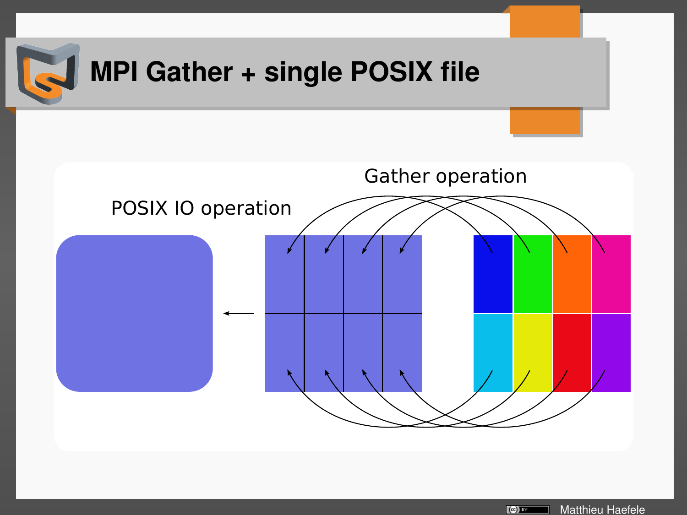

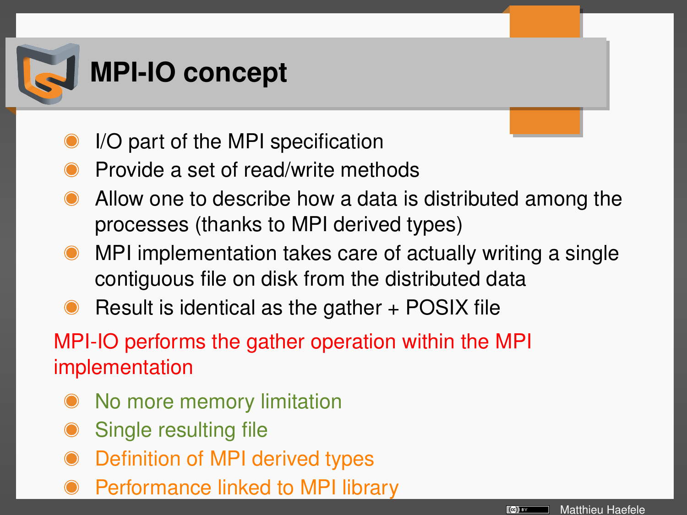

- I/O part of the MPI specification
- Provide a set of read/write methods
- Allow one to describe how a data is distributed among the processes (thanks to MPI derived types)
- MPI implementation takes care of actually writing a single contiguous file on disk from the distributed data
- Result is identical as the gather + POSIX file

MPI-IO performs the gather operation within the MPI implementation

- No more memory limitation
- Single resulting file
- Definition of MPI derived types
- Performance linked to MPI library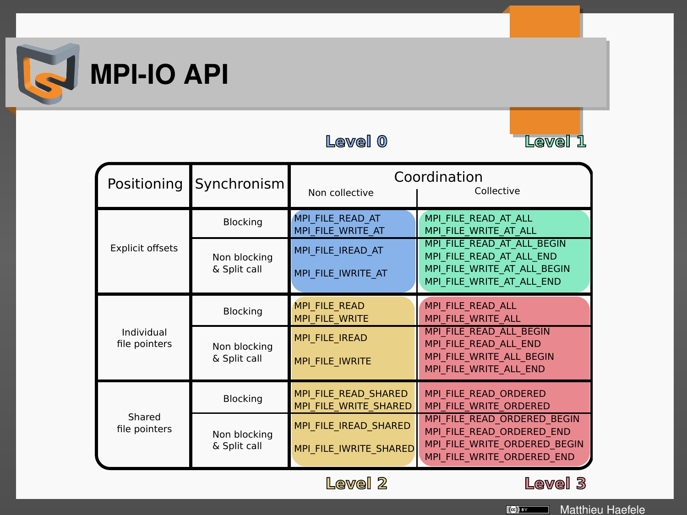



| Positioning                 | Synchronism                  | Coordination<br>Collective<br>Non collective    |                                                                                                                        |  |
|-----------------------------|------------------------------|-------------------------------------------------|------------------------------------------------------------------------------------------------------------------------|--|
| <b>Explicit offsets</b>     | <b>Blocking</b>              | MPI FILE READ AT<br>MPI FILE WRITE AT           | MPI FILE READ AT ALL<br>MPI FILE WRITE AT ALL                                                                          |  |
|                             | Non blocking<br>& Split call | MPI FILE IREAD AT<br>MPI FILE IWRITE AT         | MPI FILE READ AT ALL BEGIN<br>MPI FILE READ AT ALL END<br>MPI FILE WRITE AT ALL BEGIN<br>MPI FILE WRITE AT ALL END     |  |
| Individual<br>file pointers | Blocking                     | <b>MPI FILE READ</b><br><b>MPI FILE WRITE</b>   | MPI FILE READ ALL<br>MPI FILE WRITE ALL                                                                                |  |
|                             | Non blocking<br>& Split call | MPI FILE IREAD<br>MPI FILE IWRITE               | MPI FILE READ ALL BEGIN<br>MPI FILE READ ALL END<br>MPI FILE WRITE ALL BEGIN<br>MPI FILE WRITE ALL END                 |  |
| Shared<br>file pointers     | Blocking                     | MPI FILE READ SHARED<br>MPI FILE WRITE SHARED   | MPI FILE READ ORDERED<br>MPI FILE WRITE ORDERED                                                                        |  |
|                             | Non blocking<br>& Split call | MPI FILE IREAD SHARED<br>MPI FILE IWRITE SHARED | MPI FILE READ ORDERED BEGIN<br>MPI FILE READ ORDERED END<br>MPI FILE WRITE ORDERED BEGIN<br>MPI FILE WRITE ORDERED END |  |

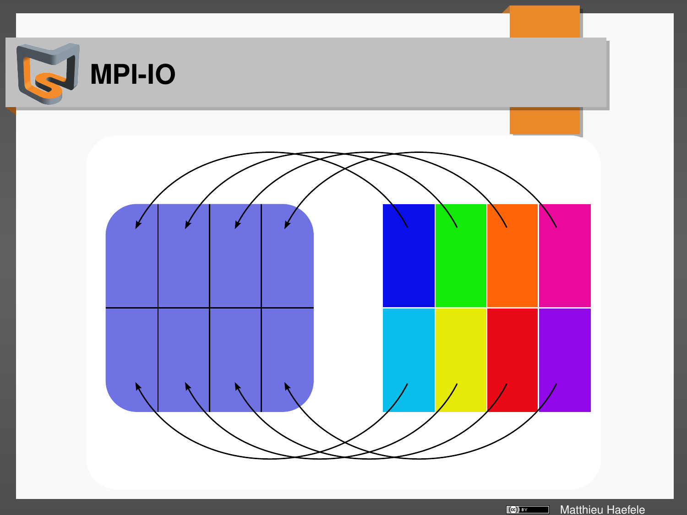

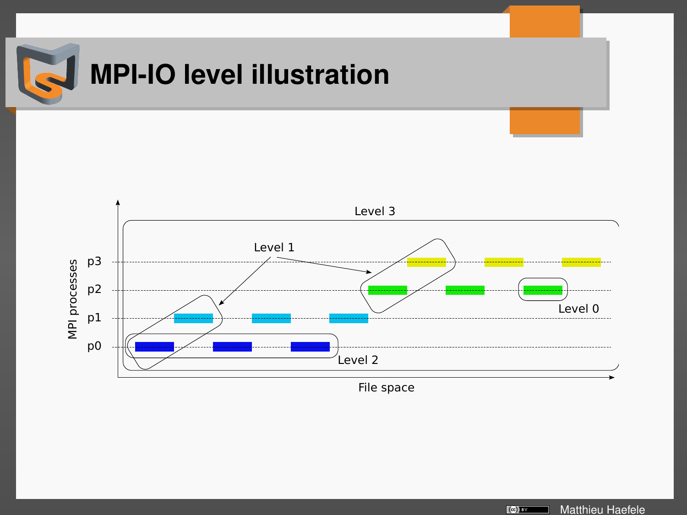

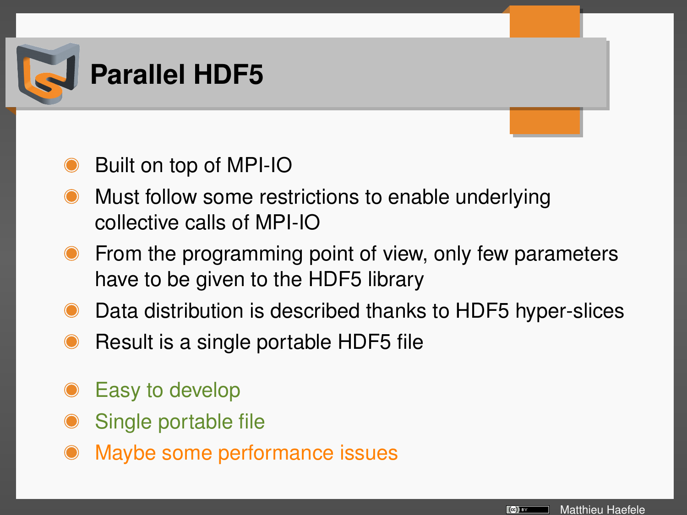

- Built on top of MPI-IO
- Must follow some restrictions to enable underlying collective calls of MPI-IO
- From the programming point of view, only few parameters have to be given to the HDF5 library
- Data distribution is described thanks to HDF5 hyper-slices
- Result is a single portable HDF5 file
- Easy to develop
- Single portable file
- Maybe some performance issues

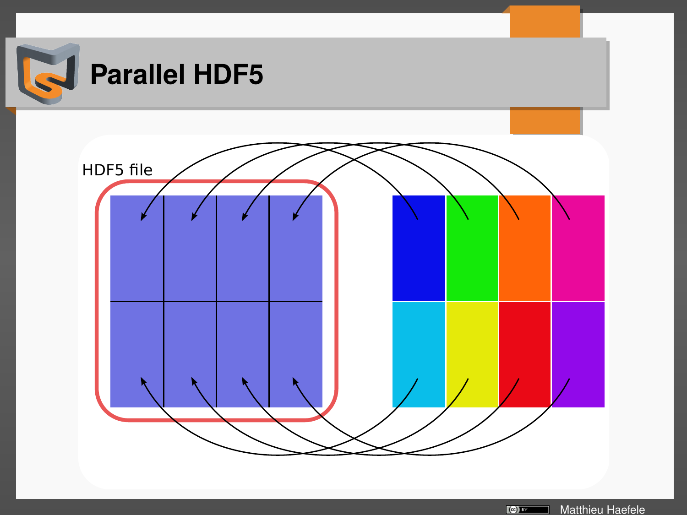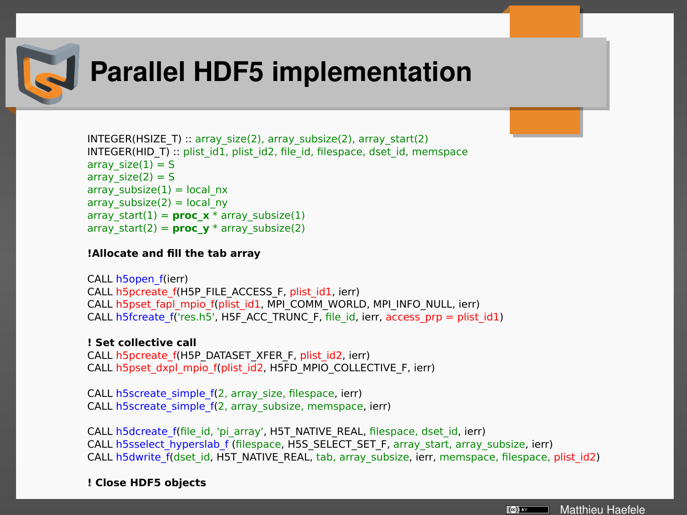

## **Parallel HDF5 implementation**

```
INTEGER(HSIZE T) :: array_size(2), array_subsize(2), array_start(2)
INTEGR(HID T) :: plist id1, plist id2, file id, filespace, dset id, memspace
array size(1) = Sarray size(2) = Sarrav_subsize(1) = local_nx
\arctan subsize(2) = local_ny
array_start(1) = proc_x * array_subsize(1)
\arctan x start(2) = proc_v * array_subsize(2)
```
### **!Allocate and fill the tab array**

```
CALL h5open_f(ierr)
CALL h5pcreate_f(H5P_FILE_ACCESS_F, plist_id1, ierr)
CALL h5pset_fapl_mpio_f(plist_id1, MPI_COMM_WORLD, MPI_INFO_NULL, ierr)
CALL h5fcreate_f('res.h5', H5F_ACC_TRUNC_F, file_id, ierr, access_prp = plist_id1)
```
**! Set collective call**  CALL h5pcreate\_f(H5P\_DATASET\_XFER\_F, plist\_id2, ierr) CALL h5pset\_dxpl\_mpio\_f(plist\_id2, H5FD\_MPIO\_COLLECTIVE\_F, ierr)

CALL h5screate\_simple\_f(2, array\_size, filespace, ierr) CALL h5screate\_simple\_f(2, array\_subsize, memspace, ierr)

CALL h5dcreate\_f(file\_id, 'pi\_array', H5T\_NATIVE\_REAL, filespace, dset\_id, ierr) CALL h5sselect hyperslab\_f (filespace, H5S\_SELECT\_SET\_F, array\_start, array\_subsize, ierr) CALL h5dwrite\_f(dset\_id, H5T\_NATIVE\_REAL, tab, array\_subsize, ierr, memspace, filespace, plist\_id2)

**! Close HDF5 objects** 

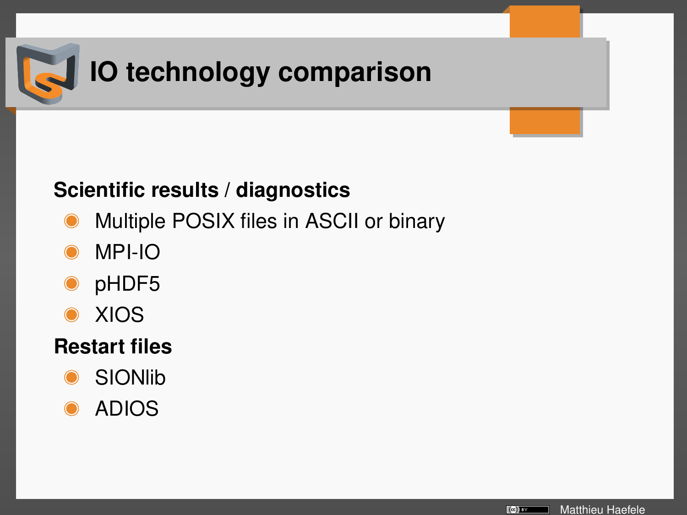

### **Scientific results / diagnostics**

- Multiple POSIX files in ASCII or binary
- MPI-IO
- pHDF5  $\bullet$
- XIOS

### **Restart files**

- **SIONlib**
- ADIOS

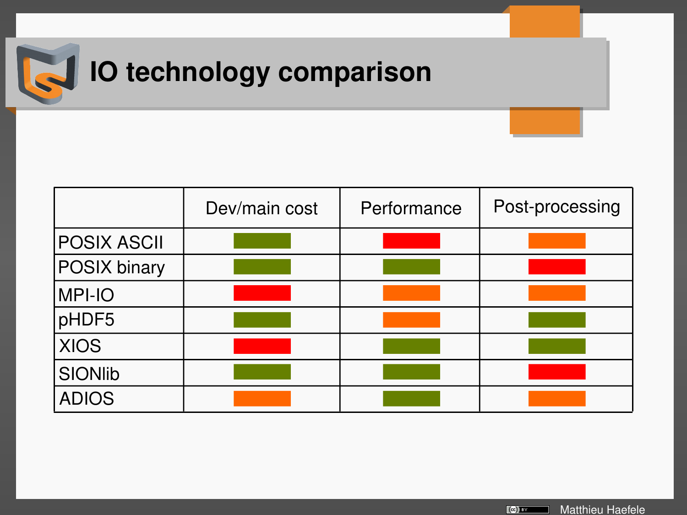

# **IO technology comparison**

|              | Dev/main cost | Performance | Post-processing |
|--------------|---------------|-------------|-----------------|
| POSIX ASCII  |               |             |                 |
| POSIX binary |               |             |                 |
| MPI-IO       |               |             |                 |
| pHDF5        |               |             |                 |
| <b>XIOS</b>  |               |             |                 |
| SIONlib      |               |             |                 |
| <b>ADIOS</b> |               |             |                 |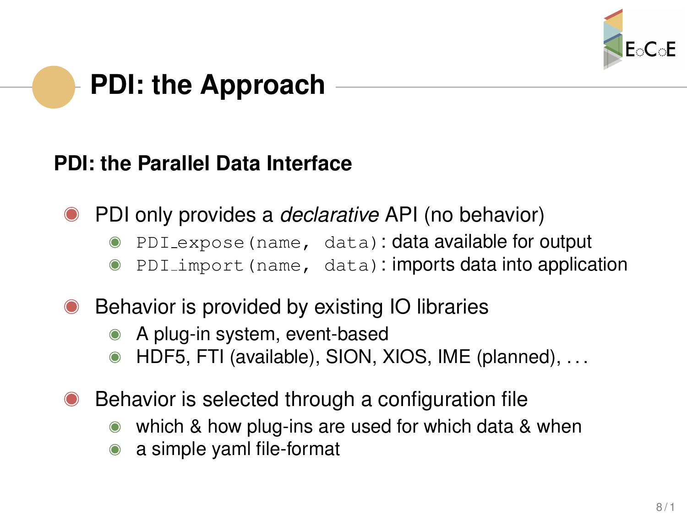

## **PDI: the Approach**

### **PDI: the Parallel Data Interface**

- PDI only provides a *declarative* API (no behavior)
	- PDI expose (name, data): data available for output
	- PDI import (name, data): imports data into application
- Behavior is provided by existing IO libraries
	- A plug-in system, event-based
	- HDF5, FTI (available), SION, XIOS, IME (planned), . . .
- Behavior is selected through a configuration file
	- which & how plug-ins are used for which data & when
	- a simple yaml file-format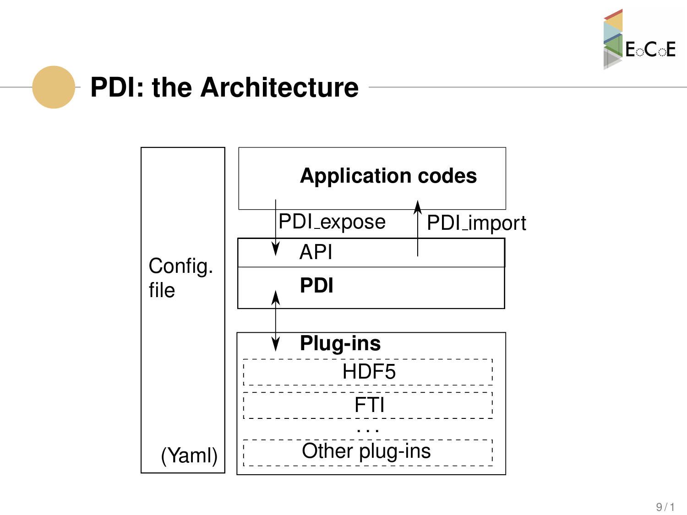

## **PDI: the Architecture**

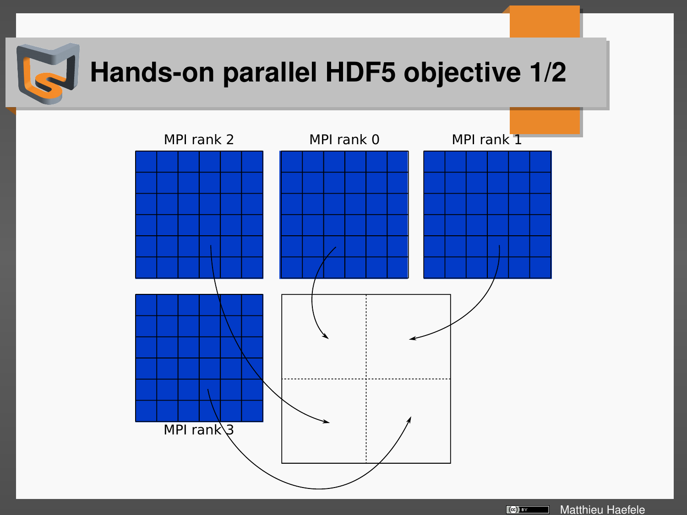

## **Hands-on parallel HDF5 objective 1/2**



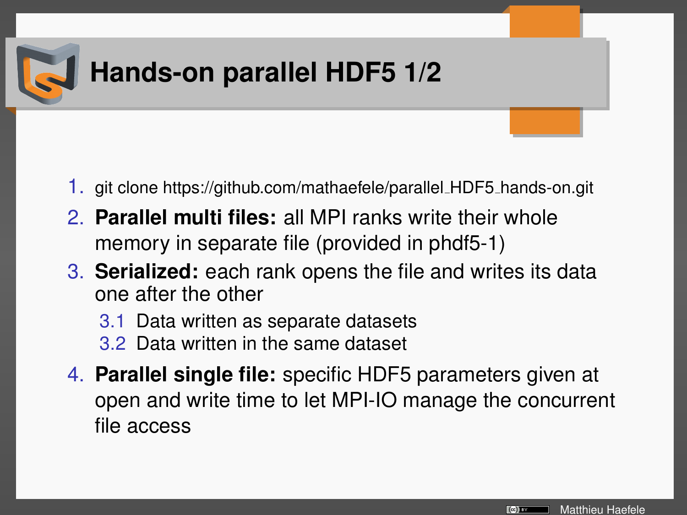

## **Hands-on parallel HDF5 1/2**

- 1. git clone https://github.com/mathaefele/parallel HDF5 hands-on.git
- 2. **Parallel multi files:** all MPI ranks write their whole memory in separate file (provided in phdf5-1)
- 3. **Serialized:** each rank opens the file and writes its data one after the other
	- 3.1 Data written as separate datasets
	- 3.2 Data written in the same dataset
- 4. **Parallel single file:** specific HDF5 parameters given at open and write time to let MPI-IO manage the concurrent file access

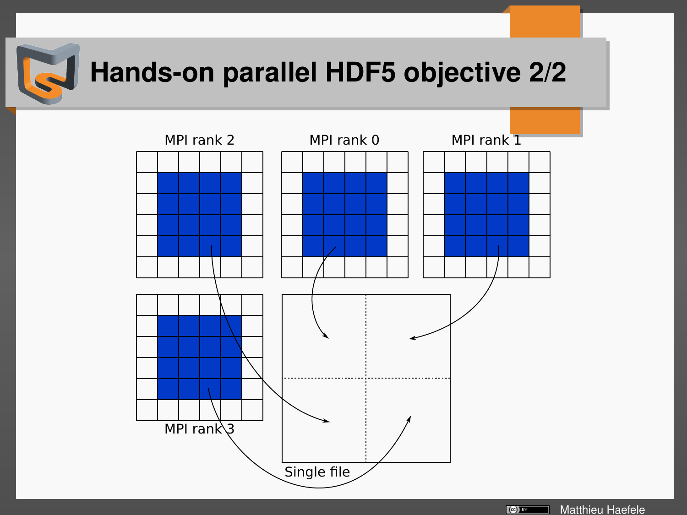

## **Hands-on parallel HDF5 objective 2/2**